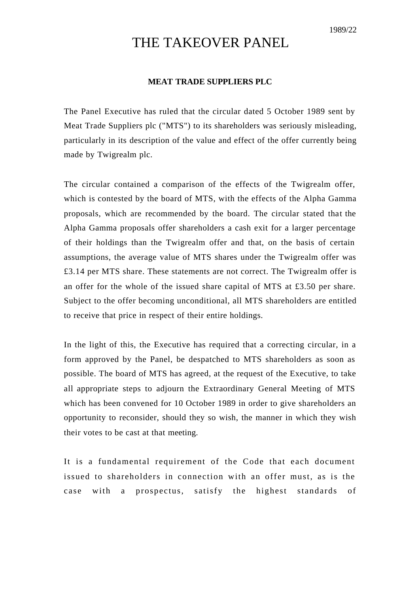## THE TAKEOVER PANEL

## **MEAT TRADE SUPPLIERS PLC**

The Panel Executive has ruled that the circular dated 5 October 1989 sent by Meat Trade Suppliers plc ("MTS") to its shareholders was seriously misleading, particularly in its description of the value and effect of the offer currently being made by Twigrealm plc.

The circular contained a comparison of the effects of the Twigrealm offer, which is contested by the board of MTS, with the effects of the Alpha Gamma proposals, which are recommended by the board. The circular stated that the Alpha Gamma proposals offer shareholders a cash exit for a larger percentage of their holdings than the Twigrealm offer and that, on the basis of certain assumptions, the average value of MTS shares under the Twigrealm offer was £3.14 per MTS share. These statements are not correct. The Twigrealm offer is an offer for the whole of the issued share capital of MTS at £3.50 per share. Subject to the offer becoming unconditional, all MTS shareholders are entitled to receive that price in respect of their entire holdings.

In the light of this, the Executive has required that a correcting circular, in a form approved by the Panel, be despatched to MTS shareholders as soon as possible. The board of MTS has agreed, at the request of the Executive, to take all appropriate steps to adjourn the Extraordinary General Meeting of MTS which has been convened for 10 October 1989 in order to give shareholders an opportunity to reconsider, should they so wish, the manner in which they wish their votes to be cast at that meeting.

It is a fundamental requirement of the Code that each document issued to shareholders in connection with an offer must, as is the case with a prospectus, satisfy the highest standards of